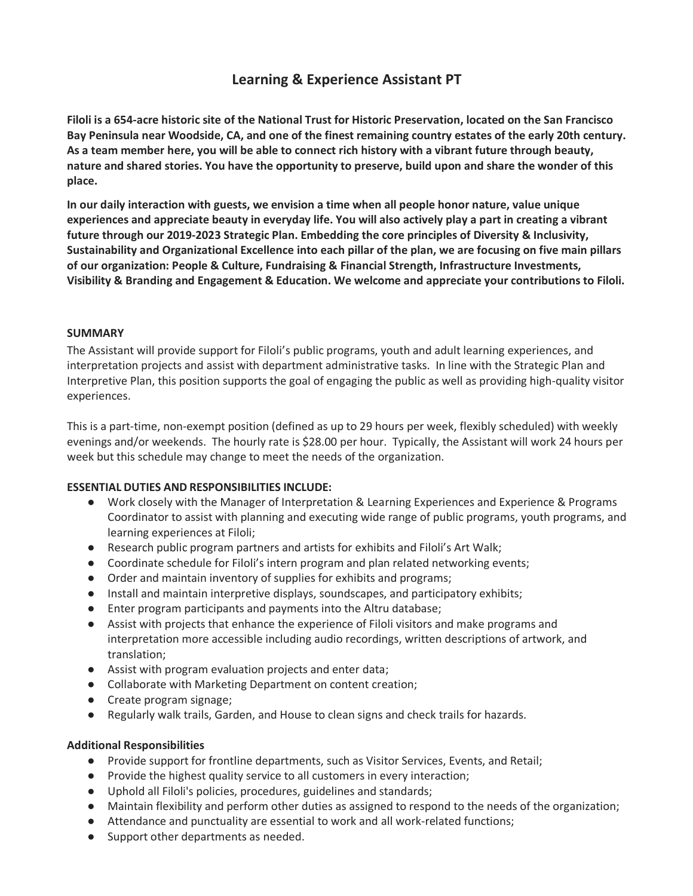# **Learning & Experience Assistant PT**

**Filoli is a 654-acre historic site of the National Trust for Historic Preservation, located on the San Francisco Bay Peninsula near Woodside, CA, and one of the finest remaining country estates of the early 20th century. As a team member here, you will be able to connect rich history with a vibrant future through beauty, nature and shared stories. You have the opportunity to preserve, build upon and share the wonder of this place.**

**In our daily interaction with guests, we envision a time when all people honor nature, value unique experiences and appreciate beauty in everyday life. You will also actively play a part in creating a vibrant future through our 2019-2023 Strategic Plan. Embedding the core principles of Diversity & Inclusivity, Sustainability and Organizational Excellence into each pillar of the plan, we are focusing on five main pillars of our organization: People & Culture, Fundraising & Financial Strength, Infrastructure Investments, Visibility & Branding and Engagement & Education. We welcome and appreciate your contributions to Filoli.**

## **SUMMARY**

The Assistant will provide support for Filoli's public programs, youth and adult learning experiences, and interpretation projects and assist with department administrative tasks. In line with the Strategic Plan and Interpretive Plan, this position supports the goal of engaging the public as well as providing high-quality visitor experiences.

This is a part-time, non-exempt position (defined as up to 29 hours per week, flexibly scheduled) with weekly evenings and/or weekends. The hourly rate is \$28.00 per hour. Typically, the Assistant will work 24 hours per week but this schedule may change to meet the needs of the organization.

## **ESSENTIAL DUTIES AND RESPONSIBILITIES INCLUDE:**

- Work closely with the Manager of Interpretation & Learning Experiences and Experience & Programs Coordinator to assist with planning and executing wide range of public programs, youth programs, and learning experiences at Filoli;
- Research public program partners and artists for exhibits and Filoli's Art Walk;
- Coordinate schedule for Filoli's intern program and plan related networking events;
- Order and maintain inventory of supplies for exhibits and programs;
- Install and maintain interpretive displays, soundscapes, and participatory exhibits;
- Enter program participants and payments into the Altru database;
- Assist with projects that enhance the experience of Filoli visitors and make programs and interpretation more accessible including audio recordings, written descriptions of artwork, and translation;
- Assist with program evaluation projects and enter data;
- Collaborate with Marketing Department on content creation;
- Create program signage;
- Regularly walk trails, Garden, and House to clean signs and check trails for hazards.

## **Additional Responsibilities**

- Provide support for frontline departments, such as Visitor Services, Events, and Retail;
- Provide the highest quality service to all customers in every interaction;
- Uphold all Filoli's policies, procedures, guidelines and standards;
- Maintain flexibility and perform other duties as assigned to respond to the needs of the organization;
- Attendance and punctuality are essential to work and all work-related functions;
- Support other departments as needed.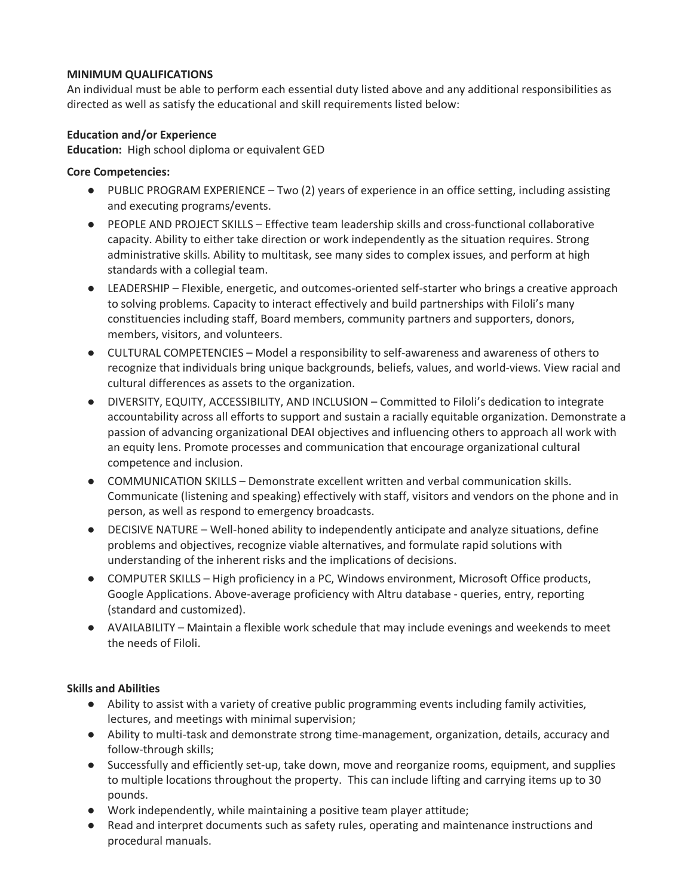## **MINIMUM QUALIFICATIONS**

An individual must be able to perform each essential duty listed above and any additional responsibilities as directed as well as satisfy the educational and skill requirements listed below:

## **Education and/or Experience**

**Education:** High school diploma or equivalent GED

### **Core Competencies:**

- PUBLIC PROGRAM EXPERIENCE Two (2) years of experience in an office setting, including assisting and executing programs/events.
- PEOPLE AND PROJECT SKILLS Effective team leadership skills and cross-functional collaborative capacity. Ability to either take direction or work independently as the situation requires. Strong administrative skills. Ability to multitask, see many sides to complex issues, and perform at high standards with a collegial team.
- LEADERSHIP Flexible, energetic, and outcomes-oriented self-starter who brings a creative approach to solving problems. Capacity to interact effectively and build partnerships with Filoli's many constituencies including staff, Board members, community partners and supporters, donors, members, visitors, and volunteers.
- CULTURAL COMPETENCIES Model a responsibility to self-awareness and awareness of others to recognize that individuals bring unique backgrounds, beliefs, values, and world-views. View racial and cultural differences as assets to the organization.
- DIVERSITY, EQUITY, ACCESSIBILITY, AND INCLUSION Committed to Filoli's dedication to integrate accountability across all efforts to support and sustain a racially equitable organization. Demonstrate a passion of advancing organizational DEAI objectives and influencing others to approach all work with an equity lens. Promote processes and communication that encourage organizational cultural competence and inclusion.
- COMMUNICATION SKILLS Demonstrate excellent written and verbal communication skills. Communicate (listening and speaking) effectively with staff, visitors and vendors on the phone and in person, as well as respond to emergency broadcasts.
- DECISIVE NATURE Well-honed ability to independently anticipate and analyze situations, define problems and objectives, recognize viable alternatives, and formulate rapid solutions with understanding of the inherent risks and the implications of decisions.
- COMPUTER SKILLS High proficiency in a PC, Windows environment, Microsoft Office products, Google Applications. Above-average proficiency with Altru database - queries, entry, reporting (standard and customized).
- AVAILABILITY Maintain a flexible work schedule that may include evenings and weekends to meet the needs of Filoli.

## **Skills and Abilities**

- Ability to assist with a variety of creative public programming events including family activities, lectures, and meetings with minimal supervision;
- Ability to multi-task and demonstrate strong time-management, organization, details, accuracy and follow-through skills;
- Successfully and efficiently set-up, take down, move and reorganize rooms, equipment, and supplies to multiple locations throughout the property. This can include lifting and carrying items up to 30 pounds.
- Work independently, while maintaining a positive team player attitude;
- Read and interpret documents such as safety rules, operating and maintenance instructions and procedural manuals.